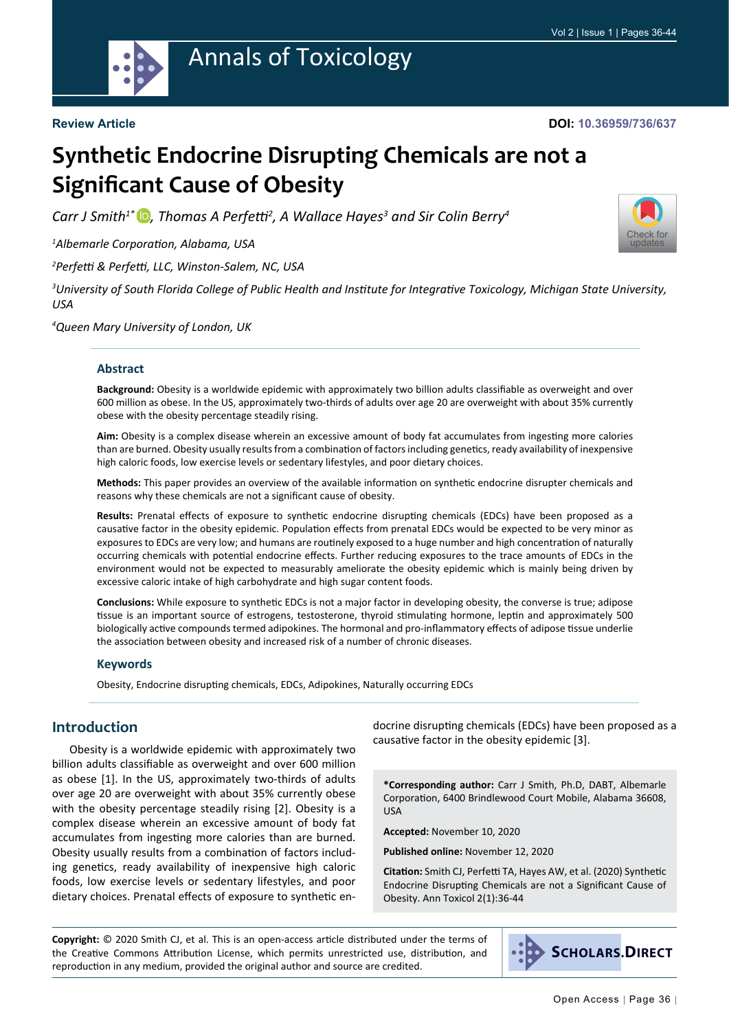

# Annals of Toxicology

#### **Review Article**

#### **DOI: 10.36959/736/637**

Check for updates

# **Synthetic Endocrine Disrupting Chemicals are not a Significant Cause of Obesity**

*Carr J Smith1\* [,](https://orcid.org/0000-0002-8708-5208) Thomas A Perfetti<sup>2</sup> , A Wallace Hayes3 and Sir Colin Berry4*

*1 Albemarle Corporation, Alabama, USA*

*2 Perfetti & Perfetti, LLC, Winston-Salem, NC, USA*

*3 University of South Florida College of Public Health and Institute for Integrative Toxicology, Michigan State University, USA*

*4 Queen Mary University of London, UK*

#### **Abstract**

**Background:** Obesity is a worldwide epidemic with approximately two billion adults classifiable as overweight and over 600 million as obese. In the US, approximately two-thirds of adults over age 20 are overweight with about 35% currently obese with the obesity percentage steadily rising.

**Aim:** Obesity is a complex disease wherein an excessive amount of body fat accumulates from ingesting more calories than are burned. Obesity usually results from a combination of factors including genetics, ready availability of inexpensive high caloric foods, low exercise levels or sedentary lifestyles, and poor dietary choices.

**Methods:** This paper provides an overview of the available information on synthetic endocrine disrupter chemicals and reasons why these chemicals are not a significant cause of obesity.

**Results:** Prenatal effects of exposure to synthetic endocrine disrupting chemicals (EDCs) have been proposed as a causative factor in the obesity epidemic. Population effects from prenatal EDCs would be expected to be very minor as exposures to EDCs are very low; and humans are routinely exposed to a huge number and high concentration of naturally occurring chemicals with potential endocrine effects. Further reducing exposures to the trace amounts of EDCs in the environment would not be expected to measurably ameliorate the obesity epidemic which is mainly being driven by excessive caloric intake of high carbohydrate and high sugar content foods.

**Conclusions:** While exposure to synthetic EDCs is not a major factor in developing obesity, the converse is true; adipose tissue is an important source of estrogens, testosterone, thyroid stimulating hormone, leptin and approximately 500 biologically active compounds termed adipokines. The hormonal and pro-inflammatory effects of adipose tissue underlie the association between obesity and increased risk of a number of chronic diseases.

#### **Keywords**

Obesity, Endocrine disrupting chemicals, EDCs, Adipokines, Naturally occurring EDCs

#### **Introduction**

Obesity is a worldwide epidemic with approximately two billion adults classifiable as overweight and over 600 million as obese [1]. In the US, approximately two-thirds of adults over age 20 are overweight with about 35% currently obese with the obesity percentage steadily rising [2]. Obesity is a complex disease wherein an excessive amount of body fat accumulates from ingesting more calories than are burned. Obesity usually results from a combination of factors including genetics, ready availability of inexpensive high caloric foods, low exercise levels or sedentary lifestyles, and poor dietary choices. Prenatal effects of exposure to synthetic endocrine disrupting chemicals (EDCs) have been proposed as a causative factor in the obesity epidemic [3].

**\*Corresponding author:** Carr J Smith, Ph.D, DABT, Albemarle Corporation, 6400 Brindlewood Court Mobile, Alabama 36608, USA

**Accepted:** November 10, 2020

**Published online:** November 12, 2020

**Citation:** Smith CJ, Perfetti TA, Hayes AW, et al. (2020) Synthetic Endocrine Disrupting Chemicals are not a Significant Cause of Obesity. Ann Toxicol 2(1):36-44

**Copyright:** © 2020 Smith CJ, et al. This is an open-access article distributed under the terms of the Creative Commons Attribution License, which permits unrestricted use, distribution, and reproduction in any medium, provided the original author and source are credited.

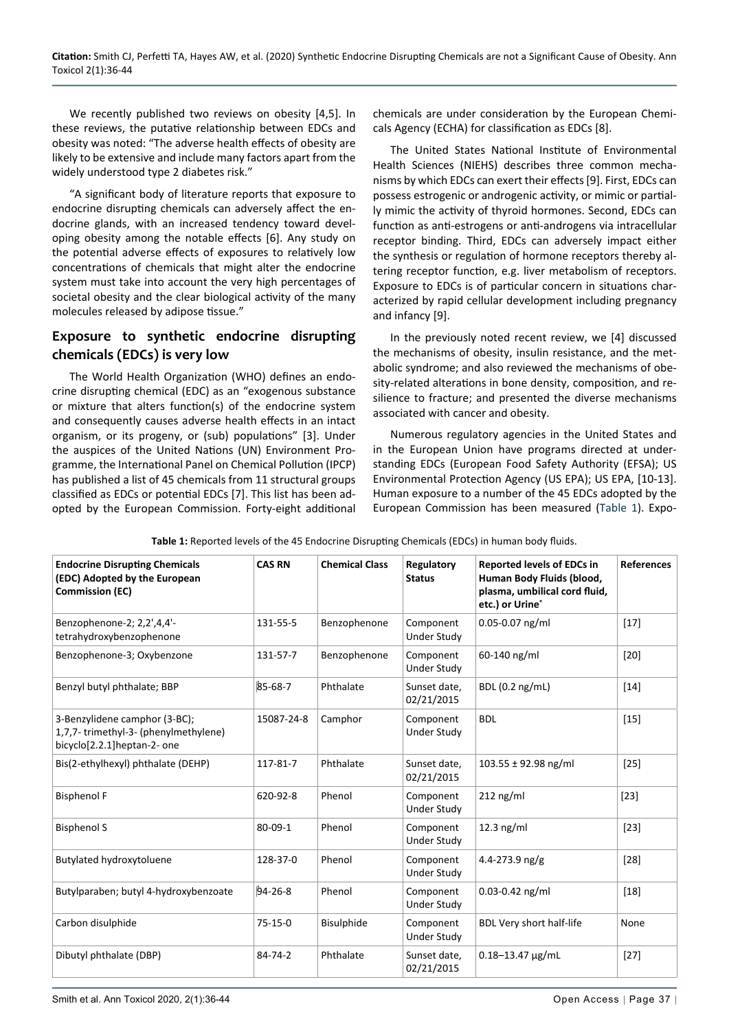We recently published two reviews on obesity [4,5]. In these reviews, the putative relationship between EDCs and obesity was noted: "The adverse health effects of obesity are likely to be extensive and include many factors apart from the widely understood type 2 diabetes risk."

"A significant body of literature reports that exposure to endocrine disrupting chemicals can adversely affect the endocrine glands, with an increased tendency toward developing obesity among the notable effects [6]. Any study on the potential adverse effects of exposures to relatively low concentrations of chemicals that might alter the endocrine system must take into account the very high percentages of societal obesity and the clear biological activity of the many molecules released by adipose tissue."

#### **Exposure to synthetic endocrine disrupting chemicals (EDCs) is very low**

The World Health Organization (WHO) defines an endocrine disrupting chemical (EDC) as an "exogenous substance or mixture that alters function(s) of the endocrine system and consequently causes adverse health effects in an intact organism, or its progeny, or (sub) populations" [3]. Under the auspices of the United Nations (UN) Environment Programme, the International Panel on Chemical Pollution (IPCP) has published a list of 45 chemicals from 11 structural groups classified as EDCs or potential EDCs [7]. This list has been adopted by the European Commission. Forty-eight additional

chemicals are under consideration by the European Chemicals Agency (ECHA) for classification as EDCs [8].

The United States National Institute of Environmental Health Sciences (NIEHS) describes three common mechanisms by which EDCs can exert their effects [9]. First, EDCs can possess estrogenic or androgenic activity, or mimic or partially mimic the activity of thyroid hormones. Second, EDCs can function as anti-estrogens or anti-androgens via intracellular receptor binding. Third, EDCs can adversely impact either the synthesis or regulation of hormone receptors thereby altering receptor function, e.g. liver metabolism of receptors. Exposure to EDCs is of particular concern in situations characterized by rapid cellular development including pregnancy and infancy [9].

In the previously noted recent review, we [4] discussed the mechanisms of obesity, insulin resistance, and the metabolic syndrome; and also reviewed the mechanisms of obesity-related alterations in bone density, composition, and resilience to fracture; and presented the diverse mechanisms associated with cancer and obesity.

Numerous regulatory agencies in the United States and in the European Union have programs directed at understanding EDCs (European Food Safety Authority (EFSA); US Environmental Protection Agency (US EPA); US EPA, [10-13]. Human exposure to a number of the 45 EDCs adopted by the European Commission has been measured ([Table 1\)](#page-1-0). Expo-

| <b>Endocrine Disrupting Chemicals</b><br>(EDC) Adopted by the European<br><b>Commission (EC)</b>    | <b>CAS RN</b> | <b>Chemical Class</b> | Regulatory<br><b>Status</b>     | <b>Reported levels of EDCs in</b><br>Human Body Fluids (blood,<br>plasma, umbilical cord fluid,<br>etc.) or Urine* | <b>References</b> |
|-----------------------------------------------------------------------------------------------------|---------------|-----------------------|---------------------------------|--------------------------------------------------------------------------------------------------------------------|-------------------|
| Benzophenone-2; 2,2',4,4'-<br>tetrahydroxybenzophenone                                              | 131-55-5      | Benzophenone          | Component<br>Under Study        | $0.05 - 0.07$ ng/ml                                                                                                | $[17]$            |
| Benzophenone-3; Oxybenzone                                                                          | 131-57-7      | Benzophenone          | Component<br>Under Study        | 60-140 ng/ml                                                                                                       | $[20]$            |
| Benzyl butyl phthalate; BBP                                                                         | 85-68-7       | Phthalate             | Sunset date,<br>02/21/2015      | BDL (0.2 ng/mL)                                                                                                    | $[14]$            |
| 3-Benzylidene camphor (3-BC);<br>1,7,7-trimethyl-3-(phenylmethylene)<br>bicyclo[2.2.1]heptan-2- one | 15087-24-8    | Camphor               | Component<br><b>Under Study</b> | <b>BDL</b>                                                                                                         | $[15]$            |
| Bis(2-ethylhexyl) phthalate (DEHP)                                                                  | 117-81-7      | Phthalate             | Sunset date,<br>02/21/2015      | $103.55 \pm 92.98$ ng/ml                                                                                           | $[25]$            |
| <b>Bisphenol F</b>                                                                                  | 620-92-8      | Phenol                | Component<br>Under Study        | $212$ ng/ml                                                                                                        | $[23]$            |
| <b>Bisphenol S</b>                                                                                  | $80 - 09 - 1$ | Phenol                | Component<br><b>Under Study</b> | $12.3$ ng/ml                                                                                                       | $[23]$            |
| <b>Butylated hydroxytoluene</b>                                                                     | 128-37-0      | Phenol                | Component<br>Under Study        | 4.4-273.9 $ng/g$                                                                                                   | $[28]$            |
| Butylparaben; butyl 4-hydroxybenzoate                                                               | $94 - 26 - 8$ | Phenol                | Component<br>Under Study        | $0.03 - 0.42$ ng/ml                                                                                                | $[18]$            |
| Carbon disulphide                                                                                   | $75-15-0$     | Bisulphide            | Component<br>Under Study        | BDL Very short half-life                                                                                           | None              |
| Dibutyl phthalate (DBP)                                                                             | 84-74-2       | Phthalate             | Sunset date,<br>02/21/2015      | $0.18 - 13.47 \,\mu g/mL$                                                                                          | $[27]$            |

#### <span id="page-1-0"></span>**Table 1:** Reported levels of the 45 Endocrine Disrupting Chemicals (EDCs) in human body fluids.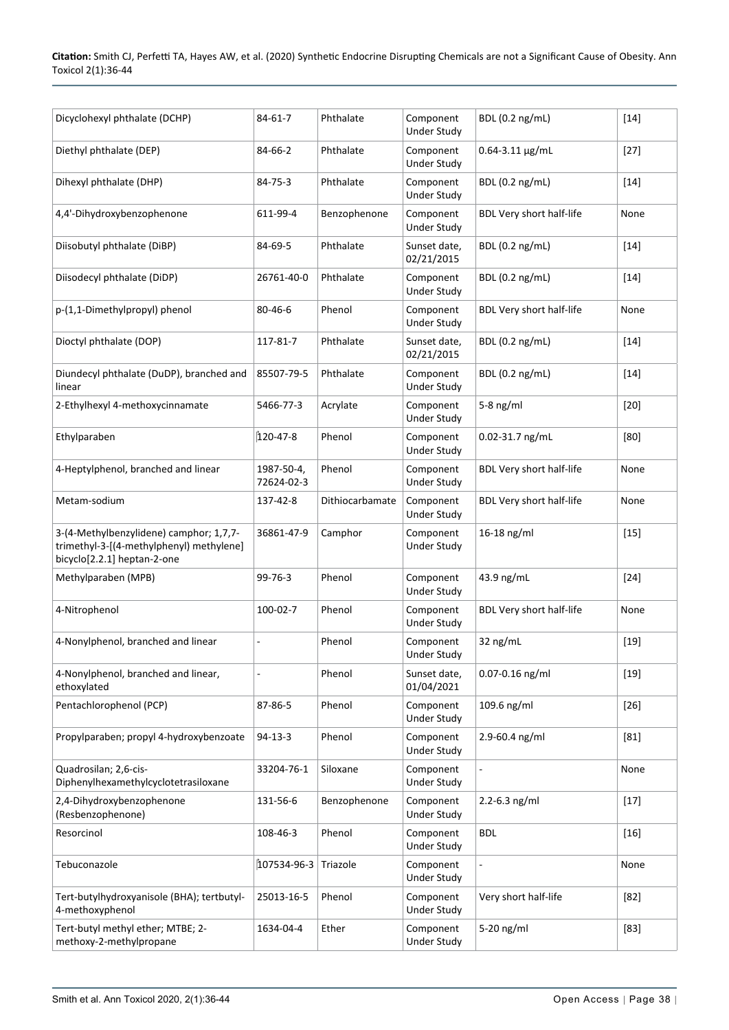**Citation:** Smith CJ, Perfetti TA, Hayes AW, et al. (2020) Synthetic Endocrine Disrupting Chemicals are not a Significant Cause of Obesity. Ann Toxicol 2(1):36-44

| Dicyclohexyl phthalate (DCHP)                                                                                      | $84 - 61 - 7$            | Phthalate       | Component<br><b>Under Study</b> | BDL (0.2 ng/mL)                 | $[14]$ |
|--------------------------------------------------------------------------------------------------------------------|--------------------------|-----------------|---------------------------------|---------------------------------|--------|
| Diethyl phthalate (DEP)                                                                                            | 84-66-2                  | Phthalate       | Component<br><b>Under Study</b> | $0.64 - 3.11$ µg/mL             | $[27]$ |
| Dihexyl phthalate (DHP)                                                                                            | 84-75-3                  | Phthalate       | Component<br><b>Under Study</b> | BDL (0.2 ng/mL)                 | $[14]$ |
| 4,4'-Dihydroxybenzophenone                                                                                         | 611-99-4                 | Benzophenone    | Component<br><b>Under Study</b> | BDL Very short half-life        | None   |
| Diisobutyl phthalate (DiBP)                                                                                        | 84-69-5                  | Phthalate       | Sunset date.<br>02/21/2015      | BDL (0.2 ng/mL)                 | $[14]$ |
| Diisodecyl phthalate (DiDP)                                                                                        | 26761-40-0               | Phthalate       | Component<br><b>Under Study</b> | BDL (0.2 ng/mL)                 | $[14]$ |
| p-(1,1-Dimethylpropyl) phenol                                                                                      | 80-46-6                  | Phenol          | Component<br><b>Under Study</b> | BDL Very short half-life        | None   |
| Dioctyl phthalate (DOP)                                                                                            | 117-81-7                 | Phthalate       | Sunset date,<br>02/21/2015      | BDL (0.2 ng/mL)                 | $[14]$ |
| Diundecyl phthalate (DuDP), branched and<br>linear                                                                 | 85507-79-5               | Phthalate       | Component<br><b>Under Study</b> | BDL (0.2 ng/mL)                 | $[14]$ |
| 2-Ethylhexyl 4-methoxycinnamate                                                                                    | 5466-77-3                | Acrylate        | Component<br><b>Under Study</b> | $5-8$ ng/ml                     | $[20]$ |
| Ethylparaben                                                                                                       | 120-47-8                 | Phenol          | Component<br><b>Under Study</b> | 0.02-31.7 ng/mL                 | [80]   |
| 4-Heptylphenol, branched and linear                                                                                | 1987-50-4,<br>72624-02-3 | Phenol          | Component<br><b>Under Study</b> | <b>BDL Very short half-life</b> | None   |
| Metam-sodium                                                                                                       | 137-42-8                 | Dithiocarbamate | Component<br><b>Under Study</b> | BDL Very short half-life        | None   |
| 3-(4-Methylbenzylidene) camphor; 1,7,7-<br>trimethyl-3-[(4-methylphenyl) methylene]<br>bicyclo[2.2.1] heptan-2-one | 36861-47-9               | Camphor         | Component<br><b>Under Study</b> | 16-18 ng/ml                     | $[15]$ |
| Methylparaben (MPB)                                                                                                | 99-76-3                  | Phenol          | Component<br><b>Under Study</b> | 43.9 ng/mL                      | $[24]$ |
| 4-Nitrophenol                                                                                                      | 100-02-7                 | Phenol          | Component<br><b>Under Study</b> | BDL Very short half-life        | None   |
| 4-Nonylphenol, branched and linear                                                                                 | ÷,                       | Phenol          | Component<br><b>Under Study</b> | 32 ng/mL                        | $[19]$ |
| 4-Nonylphenol, branched and linear,<br>ethoxylated                                                                 |                          | Phenol          | Sunset date,<br>01/04/2021      | 0.07-0.16 ng/ml                 | $[19]$ |
| Pentachlorophenol (PCP)                                                                                            | 87-86-5                  | Phenol          | Component<br><b>Under Study</b> | 109.6 ng/ml                     | $[26]$ |
| Propylparaben; propyl 4-hydroxybenzoate                                                                            | $94 - 13 - 3$            | Phenol          | Component<br><b>Under Study</b> | 2.9-60.4 ng/ml                  | $[81]$ |
| Quadrosilan; 2,6-cis-<br>Diphenylhexamethylcyclotetrasiloxane                                                      | 33204-76-1               | Siloxane        | Component<br><b>Under Study</b> | $\overline{\phantom{a}}$        | None   |
| 2,4-Dihydroxybenzophenone<br>(Resbenzophenone)                                                                     | 131-56-6                 | Benzophenone    | Component<br><b>Under Study</b> | $2.2 - 6.3$ ng/ml               | $[17]$ |
| Resorcinol                                                                                                         | 108-46-3                 | Phenol          | Component<br><b>Under Study</b> | <b>BDL</b>                      | $[16]$ |
| Tebuconazole                                                                                                       | 107534-96-3              | Triazole        | Component<br><b>Under Study</b> | $\overline{\phantom{a}}$        | None   |
| Tert-butylhydroxyanisole (BHA); tertbutyl-<br>4-methoxyphenol                                                      | 25013-16-5               | Phenol          | Component<br><b>Under Study</b> | Very short half-life            | $[82]$ |
| Tert-butyl methyl ether; MTBE; 2-<br>methoxy-2-methylpropane                                                       | 1634-04-4                | Ether           | Component<br><b>Under Study</b> | 5-20 ng/ml                      | $[83]$ |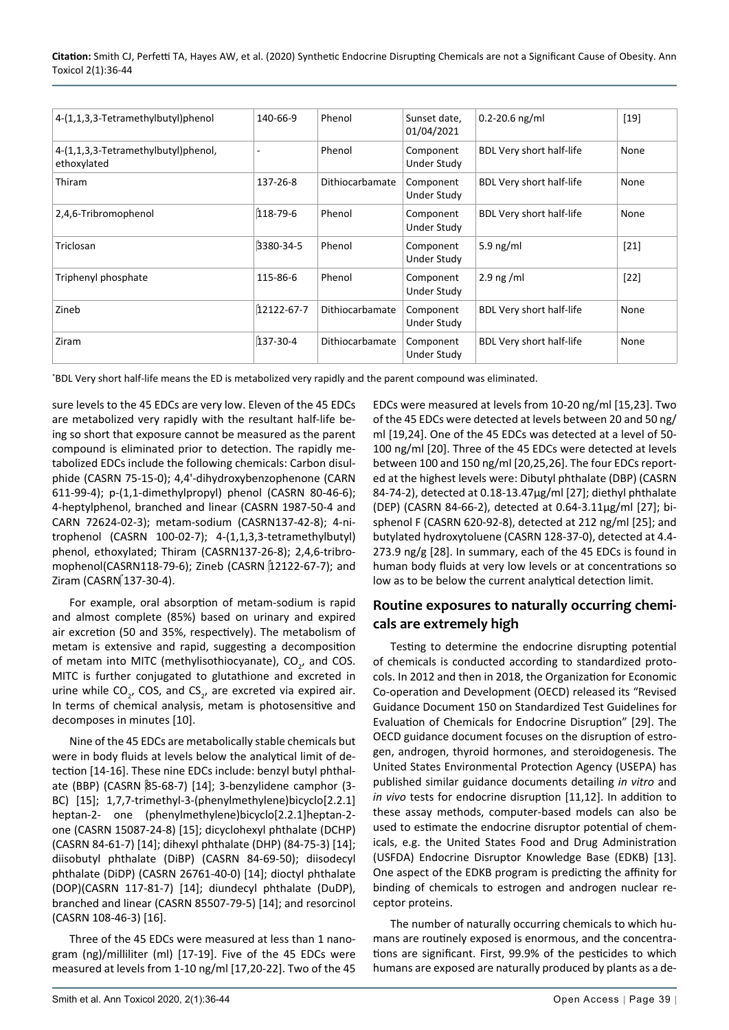| 4-(1,1,3,3-Tetramethylbutyl)phenol                 | 140-66-9   | Phenol                 | Sunset date,<br>01/04/2021 | $0.2 - 20.6$ ng/ml              | $[19]$ |
|----------------------------------------------------|------------|------------------------|----------------------------|---------------------------------|--------|
| 4-(1,1,3,3-Tetramethylbutyl)phenol,<br>ethoxylated |            | Phenol                 | Component<br>Under Study   | BDL Very short half-life        | None   |
| Thiram                                             | 137-26-8   | Dithiocarbamate        | Component<br>Under Study   | <b>BDL Very short half-life</b> | None   |
| 2,4,6-Tribromophenol                               | 118-79-6   | Phenol                 | Component<br>Under Study   | <b>BDL Very short half-life</b> | None   |
| Triclosan                                          | 3380-34-5  | Phenol                 | Component<br>Under Study   | 5.9 $ng/ml$                     | $[21]$ |
| Triphenyl phosphate                                | 115-86-6   | Phenol                 | Component<br>Under Study   | $2.9$ ng /ml                    | $[22]$ |
| Zineb                                              | 12122-67-7 | <b>Dithiocarbamate</b> | Component<br>Under Study   | BDL Very short half-life        | None   |
| Ziram                                              | 137-30-4   | <b>Dithiocarbamate</b> | Component<br>Under Study   | BDL Very short half-life        | None   |

\* BDL Very short half-life means the ED is metabolized very rapidly and the parent compound was eliminated.

sure levels to the 45 EDCs are very low. Eleven of the 45 EDCs are metabolized very rapidly with the resultant half-life being so short that exposure cannot be measured as the parent compound is eliminated prior to detection. The rapidly metabolized EDCs include the following chemicals: Carbon disulphide (CASRN 75-15-0); 4,4'-dihydroxybenzophenone (CARN 611-99-4); p-(1,1-dimethylpropyl) phenol (CASRN 80-46-6); 4-heptylphenol, branched and linear (CASRN 1987-50-4 and CARN 72624-02-3); metam-sodium (CASRN137-42-8); 4-nitrophenol (CASRN 100-02-7); 4-(1,1,3,3-tetramethylbutyl) phenol, ethoxylated; Thiram (CASRN137-26-8); 2,4,6-tribromophenol(CASRN118-79-6); Zineb (CASRN 12122-67-7); and Ziram (CASRN 137-30-4).

For example, oral absorption of metam-sodium is rapid and almost complete (85%) based on urinary and expired air excretion (50 and 35%, respectively). The metabolism of metam is extensive and rapid, suggesting a decomposition of metam into MITC (methylisothiocyanate),  $CO_{2}$ , and COS. MITC is further conjugated to glutathione and excreted in urine while CO<sub>2</sub>, COS, and CS<sub>2</sub>, are excreted via expired air. In terms of chemical analysis, metam is photosensitive and decomposes in minutes [10].

Nine of the 45 EDCs are metabolically stable chemicals but were in body fluids at levels below the analytical limit of detection [14-16]. These nine EDCs include: benzyl butyl phthalate (BBP) (CASRN 85-68-7) [14]; 3-benzylidene camphor (3- BC) [15]; 1,7,7-trimethyl-3-(phenylmethylene)bicyclo[2.2.1] heptan-2- one (phenylmethylene)bicyclo[2.2.1]heptan-2 one (CASRN 15087-24-8) [15]; dicyclohexyl phthalate (DCHP) (CASRN 84-61-7) [14]; dihexyl phthalate (DHP) (84-75-3) [14]; diisobutyl phthalate (DiBP) (CASRN 84-69-50); diisodecyl phthalate (DiDP) (CASRN 26761-40-0) [14]; dioctyl phthalate (DOP)(CASRN 117-81-7) [14]; diundecyl phthalate (DuDP), branched and linear (CASRN 85507-79-5) [14]; and resorcinol (CASRN 108-46-3) [16].

Three of the 45 EDCs were measured at less than 1 nanogram (ng)/milliliter (ml) [17-19]. Five of the 45 EDCs were measured at levels from 1-10 ng/ml [17,20-22]. Two of the 45

EDCs were measured at levels from 10-20 ng/ml [15,23]. Two of the 45 EDCs were detected at levels between 20 and 50 ng/ ml [19,24]. One of the 45 EDCs was detected at a level of 50- 100 ng/ml [20]. Three of the 45 EDCs were detected at levels between 100 and 150 ng/ml [20,25,26]. The four EDCs reported at the highest levels were: Dibutyl phthalate (DBP) (CASRN 84-74-2), detected at 0.18-13.47µg/ml [27]; diethyl phthalate (DEP) (CASRN 84-66-2), detected at 0.64-3.11µg/ml [27]; bisphenol F (CASRN 620-92-8), detected at 212 ng/ml [25]; and butylated hydroxytoluene (CASRN 128-37-0), detected at 4.4- 273.9 ng/g [28]. In summary, each of the 45 EDCs is found in human body fluids at very low levels or at concentrations so low as to be below the current analytical detection limit.

#### **Routine exposures to naturally occurring chemicals are extremely high**

Testing to determine the endocrine disrupting potential of chemicals is conducted according to standardized protocols. In 2012 and then in 2018, the Organization for Economic Co-operation and Development (OECD) released its "Revised Guidance Document 150 on Standardized Test Guidelines for Evaluation of Chemicals for Endocrine Disruption" [29]. The OECD guidance document focuses on the disruption of estrogen, androgen, thyroid hormones, and steroidogenesis. The United States Environmental Protection Agency (USEPA) has published similar guidance documents detailing *in vitro* and *in vivo* tests for endocrine disruption [11,12]. In addition to these assay methods, computer-based models can also be used to estimate the endocrine disruptor potential of chemicals, e.g. the United States Food and Drug Administration (USFDA) Endocrine Disruptor Knowledge Base (EDKB) [13]. One aspect of the EDKB program is predicting the affinity for binding of chemicals to estrogen and androgen nuclear receptor proteins.

The number of naturally occurring chemicals to which humans are routinely exposed is enormous, and the concentrations are significant. First, 99.9% of the pesticides to which humans are exposed are naturally produced by plants as a de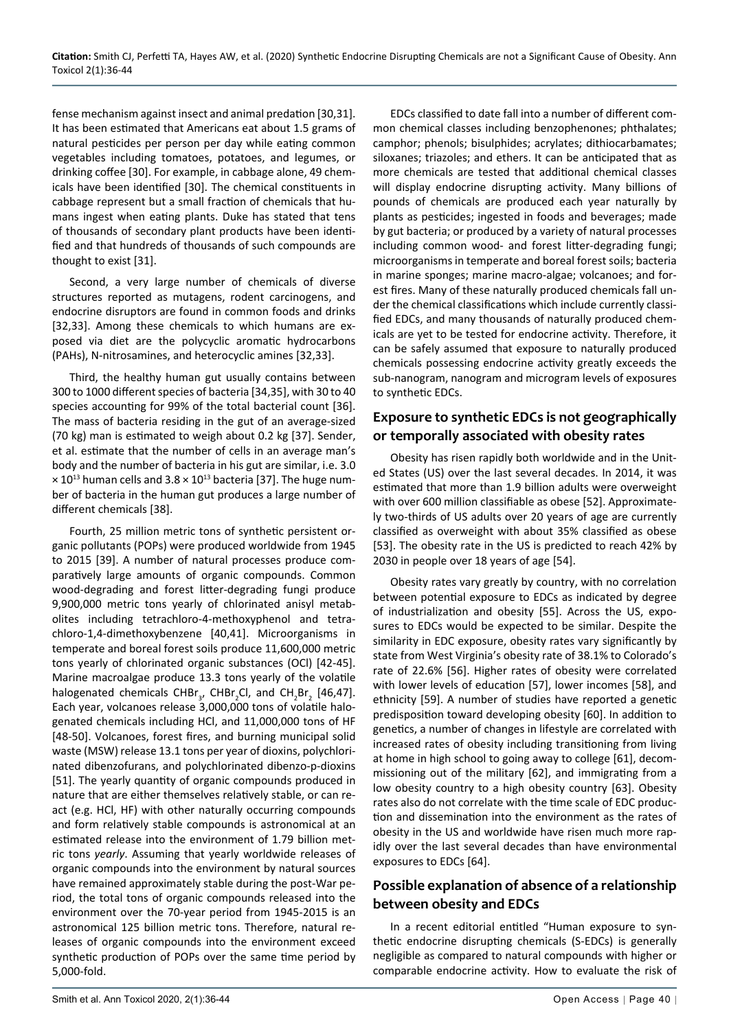fense mechanism against insect and animal predation [30,31]. It has been estimated that Americans eat about 1.5 grams of natural pesticides per person per day while eating common vegetables including tomatoes, potatoes, and legumes, or drinking coffee [30]. For example, in cabbage alone, 49 chemicals have been identified [30]. The chemical constituents in cabbage represent but a small fraction of chemicals that humans ingest when eating plants. Duke has stated that tens of thousands of secondary plant products have been identified and that hundreds of thousands of such compounds are thought to exist [31].

Second, a very large number of chemicals of diverse structures reported as mutagens, rodent carcinogens, and endocrine disruptors are found in common foods and drinks [32,33]. Among these chemicals to which humans are exposed via diet are the polycyclic aromatic hydrocarbons (PAHs), N-nitrosamines, and heterocyclic amines [32,33].

Third, the healthy human gut usually contains between 300 to 1000 different species of bacteria [34,35], with 30 to 40 species accounting for 99% of the total bacterial count [36]. The mass of bacteria residing in the gut of an average-sized (70 kg) man is estimated to weigh about 0.2 kg [37]. Sender, et al. estimate that the number of cells in an average man's body and the number of bacteria in his gut are similar, i.e. 3.0  $\times$  10<sup>13</sup> human cells and 3.8  $\times$  10<sup>13</sup> bacteria [37]. The huge number of bacteria in the human gut produces a large number of different chemicals [38].

Fourth, 25 million metric tons of synthetic persistent organic pollutants (POPs) were produced worldwide from 1945 to 2015 [39]. A number of natural processes produce comparatively large amounts of organic compounds. Common wood-degrading and forest litter-degrading fungi produce 9,900,000 metric tons yearly of chlorinated anisyl metabolites including tetrachloro-4-methoxyphenol and tetrachloro-1,4-dimethoxybenzene [40,41]. Microorganisms in temperate and boreal forest soils produce 11,600,000 metric tons yearly of chlorinated organic substances (OCl) [42-45]. Marine macroalgae produce 13.3 tons yearly of the volatile halogenated chemicals  $CHBr_{3}$ , CHBr<sub>2</sub>Cl, and CH<sub>2</sub>Br<sub>2</sub> [46,47]. Each year, volcanoes release 3,000,000 tons of volatile halogenated chemicals including HCl, and 11,000,000 tons of HF [48-50]. Volcanoes, forest fires, and burning municipal solid waste (MSW) release 13.1 tons per year of dioxins, polychlorinated dibenzofurans, and polychlorinated dibenzo-p-dioxins [51]. The yearly quantity of organic compounds produced in nature that are either themselves relatively stable, or can react (e.g. HCl, HF) with other naturally occurring compounds and form relatively stable compounds is astronomical at an estimated release into the environment of 1.79 billion metric tons *yearly*. Assuming that yearly worldwide releases of organic compounds into the environment by natural sources have remained approximately stable during the post-War period, the total tons of organic compounds released into the environment over the 70-year period from 1945-2015 is an astronomical 125 billion metric tons. Therefore, natural releases of organic compounds into the environment exceed synthetic production of POPs over the same time period by 5,000-fold.

EDCs classified to date fall into a number of different common chemical classes including benzophenones; phthalates; camphor; phenols; bisulphides; acrylates; dithiocarbamates; siloxanes; triazoles; and ethers. It can be anticipated that as more chemicals are tested that additional chemical classes will display endocrine disrupting activity. Many billions of pounds of chemicals are produced each year naturally by plants as pesticides; ingested in foods and beverages; made by gut bacteria; or produced by a variety of natural processes including common wood- and forest litter-degrading fungi; microorganisms in temperate and boreal forest soils; bacteria in marine sponges; marine macro-algae; volcanoes; and forest fires. Many of these naturally produced chemicals fall under the chemical classifications which include currently classified EDCs, and many thousands of naturally produced chemicals are yet to be tested for endocrine activity. Therefore, it can be safely assumed that exposure to naturally produced chemicals possessing endocrine activity greatly exceeds the sub-nanogram, nanogram and microgram levels of exposures to synthetic EDCs.

## **Exposure to synthetic EDCs is not geographically or temporally associated with obesity rates**

Obesity has risen rapidly both worldwide and in the United States (US) over the last several decades. In 2014, it was estimated that more than 1.9 billion adults were overweight with over 600 million classifiable as obese [52]. Approximately two-thirds of US adults over 20 years of age are currently classified as overweight with about 35% classified as obese [53]. The obesity rate in the US is predicted to reach 42% by 2030 in people over 18 years of age [54].

Obesity rates vary greatly by country, with no correlation between potential exposure to EDCs as indicated by degree of industrialization and obesity [55]. Across the US, exposures to EDCs would be expected to be similar. Despite the similarity in EDC exposure, obesity rates vary significantly by state from West Virginia's obesity rate of 38.1% to Colorado's rate of 22.6% [56]. Higher rates of obesity were correlated with lower levels of education [57], lower incomes [58], and ethnicity [59]. A number of studies have reported a genetic predisposition toward developing obesity [60]. In addition to genetics, a number of changes in lifestyle are correlated with increased rates of obesity including transitioning from living at home in high school to going away to college [61], decommissioning out of the military [62], and immigrating from a low obesity country to a high obesity country [63]. Obesity rates also do not correlate with the time scale of EDC production and dissemination into the environment as the rates of obesity in the US and worldwide have risen much more rapidly over the last several decades than have environmental exposures to EDCs [64].

## **Possible explanation of absence of a relationship between obesity and EDCs**

In a recent editorial entitled "Human exposure to synthetic endocrine disrupting chemicals (S-EDCs) is generally negligible as compared to natural compounds with higher or comparable endocrine activity. How to evaluate the risk of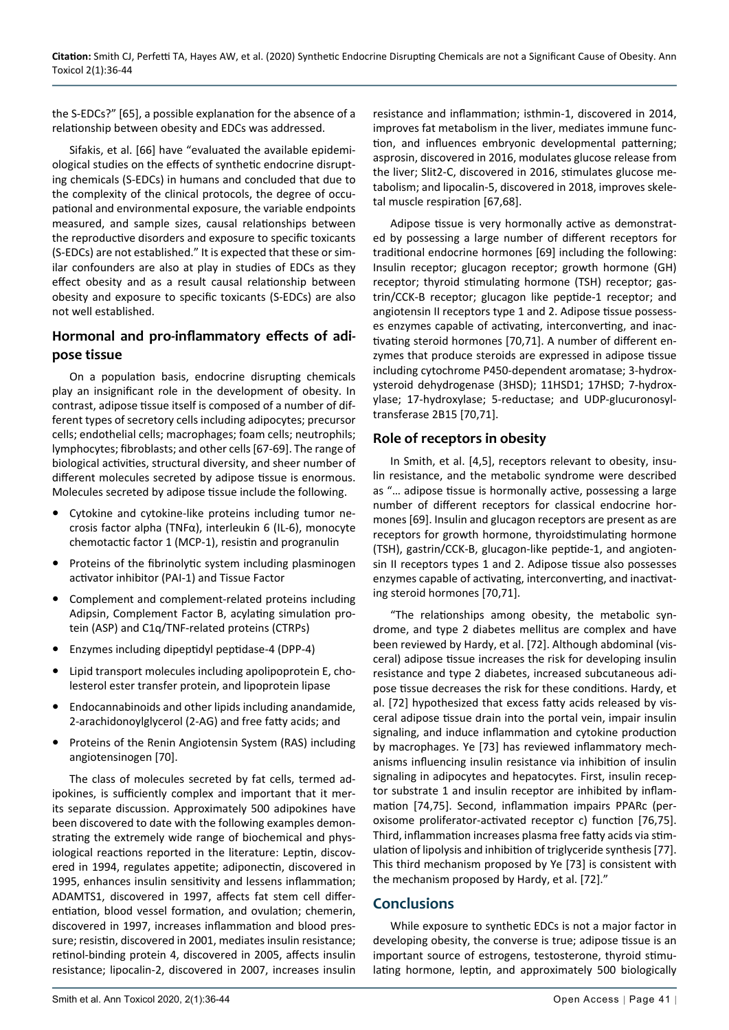the S-EDCs?" [65], a possible explanation for the absence of a relationship between obesity and EDCs was addressed.

Sifakis, et al. [66] have "evaluated the available epidemiological studies on the effects of synthetic endocrine disrupting chemicals (S-EDCs) in humans and concluded that due to the complexity of the clinical protocols, the degree of occupational and environmental exposure, the variable endpoints measured, and sample sizes, causal relationships between the reproductive disorders and exposure to specific toxicants (S-EDCs) are not established." It is expected that these or similar confounders are also at play in studies of EDCs as they effect obesity and as a result causal relationship between obesity and exposure to specific toxicants (S-EDCs) are also not well established.

## **Hormonal and pro-inflammatory effects of adipose tissue**

On a population basis, endocrine disrupting chemicals play an insignificant role in the development of obesity. In contrast, adipose tissue itself is composed of a number of different types of secretory cells including adipocytes; precursor cells; endothelial cells; macrophages; foam cells; neutrophils; lymphocytes; fibroblasts; and other cells [67-69]. The range of biological activities, structural diversity, and sheer number of different molecules secreted by adipose tissue is enormous. Molecules secreted by adipose tissue include the following.

- **•** Cytokine and cytokine-like proteins including tumor necrosis factor alpha (TNFα), interleukin 6 (IL-6), monocyte chemotactic factor 1 (MCP-1), resistin and progranulin
- **•** Proteins of the fibrinolytic system including plasminogen activator inhibitor (PAI-1) and Tissue Factor
- **•** Complement and complement-related proteins including Adipsin, Complement Factor B, acylating simulation protein (ASP) and C1q/TNF-related proteins (CTRPs)
- **•** Enzymes including dipeptidyl peptidase-4 (DPP-4)
- **•** Lipid transport molecules including apolipoprotein E, cholesterol ester transfer protein, and lipoprotein lipase
- **•** Endocannabinoids and other lipids including anandamide, 2-arachidonoylglycerol (2-AG) and free fatty acids; and
- **•** Proteins of the Renin Angiotensin System (RAS) including angiotensinogen [70].

The class of molecules secreted by fat cells, termed adipokines, is sufficiently complex and important that it merits separate discussion. Approximately 500 adipokines have been discovered to date with the following examples demonstrating the extremely wide range of biochemical and physiological reactions reported in the literature: Leptin, discovered in 1994, regulates appetite; adiponectin, discovered in 1995, enhances insulin sensitivity and lessens inflammation; ADAMTS1, discovered in 1997, affects fat stem cell differentiation, blood vessel formation, and ovulation; chemerin, discovered in 1997, increases inflammation and blood pressure; resistin, discovered in 2001, mediates insulin resistance; retinol-binding protein 4, discovered in 2005, affects insulin resistance; lipocalin-2, discovered in 2007, increases insulin

resistance and inflammation; isthmin-1, discovered in 2014, improves fat metabolism in the liver, mediates immune function, and influences embryonic developmental patterning; asprosin, discovered in 2016, modulates glucose release from the liver; Slit2-C, discovered in 2016, stimulates glucose metabolism; and lipocalin-5, discovered in 2018, improves skeletal muscle respiration [67,68].

Adipose tissue is very hormonally active as demonstrated by possessing a large number of different receptors for traditional endocrine hormones [69] including the following: Insulin receptor; glucagon receptor; growth hormone (GH) receptor; thyroid stimulating hormone (TSH) receptor; gastrin/CCK-B receptor; glucagon like peptide-1 receptor; and angiotensin II receptors type 1 and 2. Adipose tissue possesses enzymes capable of activating, interconverting, and inactivating steroid hormones [70,71]. A number of different enzymes that produce steroids are expressed in adipose tissue including cytochrome P450-dependent aromatase; 3-hydroxysteroid dehydrogenase (3HSD); 11HSD1; 17HSD; 7-hydroxylase; 17-hydroxylase; 5-reductase; and UDP-glucuronosyltransferase 2B15 [70,71].

#### **Role of receptors in obesity**

In Smith, et al. [4,5], receptors relevant to obesity, insulin resistance, and the metabolic syndrome were described as "… adipose tissue is hormonally active, possessing a large number of different receptors for classical endocrine hormones [69]. Insulin and glucagon receptors are present as are receptors for growth hormone, thyroidstimulating hormone (TSH), gastrin/CCK-B, glucagon-like peptide-1, and angiotensin II receptors types 1 and 2. Adipose tissue also possesses enzymes capable of activating, interconverting, and inactivating steroid hormones [70,71].

"The relationships among obesity, the metabolic syndrome, and type 2 diabetes mellitus are complex and have been reviewed by Hardy, et al. [72]. Although abdominal (visceral) adipose tissue increases the risk for developing insulin resistance and type 2 diabetes, increased subcutaneous adipose tissue decreases the risk for these conditions. Hardy, et al. [72] hypothesized that excess fatty acids released by visceral adipose tissue drain into the portal vein, impair insulin signaling, and induce inflammation and cytokine production by macrophages. Ye [73] has reviewed inflammatory mechanisms influencing insulin resistance via inhibition of insulin signaling in adipocytes and hepatocytes. First, insulin receptor substrate 1 and insulin receptor are inhibited by inflammation [74,75]. Second, inflammation impairs PPARc (peroxisome proliferator-activated receptor c) function [76,75]. Third, inflammation increases plasma free fatty acids via stimulation of lipolysis and inhibition of triglyceride synthesis [77]. This third mechanism proposed by Ye [73] is consistent with the mechanism proposed by Hardy, et al. [72]."

## **Conclusions**

While exposure to synthetic EDCs is not a major factor in developing obesity, the converse is true; adipose tissue is an important source of estrogens, testosterone, thyroid stimulating hormone, leptin, and approximately 500 biologically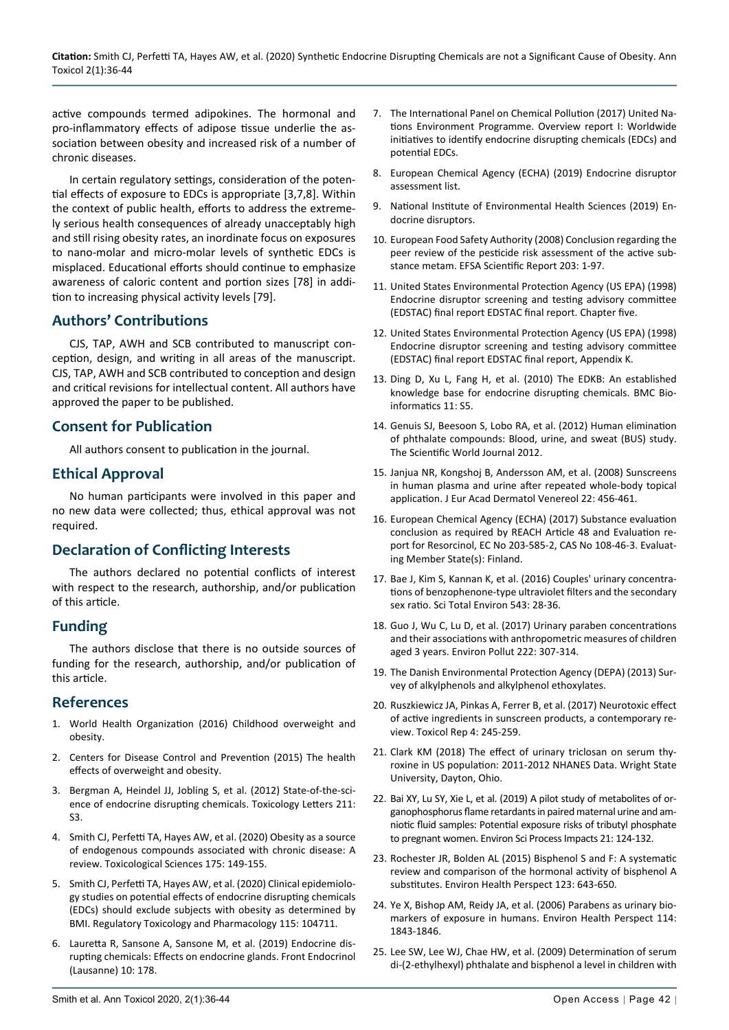active compounds termed adipokines. The hormonal and pro-inflammatory effects of adipose tissue underlie the association between obesity and increased risk of a number of chronic diseases.

In certain regulatory settings, consideration of the potential effects of exposure to EDCs is appropriate [3,7,8]. Within the context of public health, efforts to address the extremely serious health consequences of already unacceptably high and still rising obesity rates, an inordinate focus on exposures to nano-molar and micro-molar levels of synthetic EDCs is misplaced. Educational efforts should continue to emphasize awareness of caloric content and portion sizes [78] in addition to increasing physical activity levels [79].

#### **Authors' Contributions**

CJS, TAP, AWH and SCB contributed to manuscript conception, design, and writing in all areas of the manuscript. CJS, TAP, AWH and SCB contributed to conception and design and critical revisions for intellectual content. All authors have approved the paper to be published.

#### **Consent for Publication**

All authors consent to publication in the journal.

#### **Ethical Approval**

No human participants were involved in this paper and no new data were collected; thus, ethical approval was not required.

## **Declaration of Conflicting Interests**

The authors declared no potential conflicts of interest with respect to the research, authorship, and/or publication of this article.

#### **Funding**

The authors disclose that there is no outside sources of funding for the research, authorship, and/or publication of this article.

#### **References**

- 1. [World Health Organization \(2016\) Childhood overweight and](https://www.who.int/news-room/q-a-detail/noncommunicable-diseases-childhood-overweight-and-obesity)  [obesity.](https://www.who.int/news-room/q-a-detail/noncommunicable-diseases-childhood-overweight-and-obesity)
- 2. [Centers for Disease Control and Prevention \(2015\) The health](https://www.cdc.gov/healthyweight/effects/index.html)  [effects of overweight and obesity.](https://www.cdc.gov/healthyweight/effects/index.html)
- 3. [Bergman A, Heindel JJ, Jobling S, et al. \(2012\) State-of-the-sci](https://app.dimensions.ai/details/publication/pub.1037723031)[ence of endocrine disrupting chemicals. Toxicology Letters 211:](https://app.dimensions.ai/details/publication/pub.1037723031)  [S3.](https://app.dimensions.ai/details/publication/pub.1037723031)
- 4. [Smith CJ, Perfetti TA, Hayes AW, et al. \(2020\) Obesity as a source](https://academic.oup.com/toxsci/article/175/2/149/5811237)  [of endogenous compounds associated with chronic disease: A](https://academic.oup.com/toxsci/article/175/2/149/5811237)  [review. Toxicological Sciences 175: 149-155.](https://academic.oup.com/toxsci/article/175/2/149/5811237)
- 5. [Smith CJ, Perfetti TA, Hayes AW, et al. \(2020\) Clinical epidemiolo](https://www.sciencedirect.com/science/article/pii/S0273230020301379)[gy studies on potential effects of endocrine disrupting chemicals](https://www.sciencedirect.com/science/article/pii/S0273230020301379)  [\(EDCs\) should exclude subjects with obesity as determined by](https://www.sciencedirect.com/science/article/pii/S0273230020301379)  [BMI. Regulatory Toxicology and Pharmacology 115: 104711.](https://www.sciencedirect.com/science/article/pii/S0273230020301379)
- 6. [Lauretta R, Sansone A, Sansone M, et al. \(2019\) Endocrine dis](https://pubmed.ncbi.nlm.nih.gov/30984107/)[rupting chemicals: Effects on endocrine glands. Front Endocrinol](https://pubmed.ncbi.nlm.nih.gov/30984107/)  [\(Lausanne\) 10: 178.](https://pubmed.ncbi.nlm.nih.gov/30984107/)
- 7. [The International Panel on Chemical Pollution \(2017\) United Na](https://wedocs.unep.org/bitstream/handle/20.500.11822/25633/EDC_report1.pdf?sequence=1&isAllowed=y)[tions Environment Programme. Overview report I: Worldwide](https://wedocs.unep.org/bitstream/handle/20.500.11822/25633/EDC_report1.pdf?sequence=1&isAllowed=y)  [initiatives to identify endocrine disrupting chemicals \(EDCs\) and](https://wedocs.unep.org/bitstream/handle/20.500.11822/25633/EDC_report1.pdf?sequence=1&isAllowed=y)  [potential EDCs.](https://wedocs.unep.org/bitstream/handle/20.500.11822/25633/EDC_report1.pdf?sequence=1&isAllowed=y)
- 8. [European Chemical Agency \(ECHA\) \(2019\) Endocrine disruptor](https://echa.europa.eu/understanding-ed-assessment)  [assessment list.](https://echa.europa.eu/understanding-ed-assessment)
- 9. [National Institute of Environmental Health Sciences \(2019\) En](https://www.niehs.nih.gov/health/topics/agents/endocrine/index.cfm)[docrine disruptors.](https://www.niehs.nih.gov/health/topics/agents/endocrine/index.cfm)
- 10. [European Food Safety Authority \(2008\) Conclusion regarding the](https://efsa.onlinelibrary.wiley.com/doi/abs/10.2903/j.efsa.2009.203r)  [peer review of the pesticide risk assessment of the active sub](https://efsa.onlinelibrary.wiley.com/doi/abs/10.2903/j.efsa.2009.203r)[stance metam. EFSA Scientific Report 203: 1-97.](https://efsa.onlinelibrary.wiley.com/doi/abs/10.2903/j.efsa.2009.203r)
- 11. [United States Environmental Protection Agency \(US EPA\) \(1998\)](https://www.epa.gov/endocrine-disruption/endocrine-disruptor-screening-and-testing-advisory-committee-edstac-final)  [Endocrine disruptor screening and testing advisory committee](https://www.epa.gov/endocrine-disruption/endocrine-disruptor-screening-and-testing-advisory-committee-edstac-final)  [\(EDSTAC\) final report EDSTAC final report. Chapter five.](https://www.epa.gov/endocrine-disruption/endocrine-disruptor-screening-and-testing-advisory-committee-edstac-final)
- 12. [United States Environmental Protection Agency \(US EPA\) \(1998\)](https://19january2017snapshot.epa.gov/sites/production/files/2015-08/documents/app-kv14.pdf)  [Endocrine disruptor screening and testing advisory committee](https://19january2017snapshot.epa.gov/sites/production/files/2015-08/documents/app-kv14.pdf)  [\(EDSTAC\) final report EDSTAC final report, Appendix K.](https://19january2017snapshot.epa.gov/sites/production/files/2015-08/documents/app-kv14.pdf)
- 13. Ding D, Xu L, Fang H, et al. (2010) The EDKB: An established knowledge base for endocrine disrupting chemicals. BMC Bioinformatics 11: S5.
- 14. [Genuis SJ, Beesoon S, Lobo RA, et al. \(2012\) Human elimination](https://www.ncbi.nlm.nih.gov/pmc/articles/PMC3504417/)  [of phthalate compounds: Blood, urine, and sweat \(BUS\) study.](https://www.ncbi.nlm.nih.gov/pmc/articles/PMC3504417/)  [The Scientific World Journal 2012.](https://www.ncbi.nlm.nih.gov/pmc/articles/PMC3504417/)
- 15. [Janjua NR, Kongshoj B, Andersson AM, et al. \(2008\) Sunscreens](https://pubmed.ncbi.nlm.nih.gov/18221342/)  [in human plasma and urine after repeated whole‐body topical](https://pubmed.ncbi.nlm.nih.gov/18221342/)  [application. J Eur Acad Dermatol Venereol 22: 456-461.](https://pubmed.ncbi.nlm.nih.gov/18221342/)
- 16. European Chemical Agency (ECHA) (2017) Substance evaluation conclusion as required by REACH Article 48 and Evaluation report for Resorcinol, EC No 203-585-2, CAS No 108-46-3. Evaluating Member State(s): Finland.
- 17. [Bae J, Kim S, Kannan K, et al. \(2016\) Couples' urinary concentra](https://pubmed.ncbi.nlm.nih.gov/26575635/)[tions of benzophenone-type ultraviolet filters and the secondary](https://pubmed.ncbi.nlm.nih.gov/26575635/)  [sex ratio. Sci Total Environ 543: 28-36.](https://pubmed.ncbi.nlm.nih.gov/26575635/)
- 18. Guo J, Wu C, Lu D, et al. (2017) Urinary paraben concentrations and their associations with anthropometric measures of children aged 3 years. Environ Pollut 222: 307-314.
- 19. [The Danish Environmental Protection Agency \(DEPA\) \(2013\) Sur](https://www2.mst.dk/Udgiv/publications/2013/04/978-87-92903-99-0.pdf)[vey of alkylphenols and alkylphenol ethoxylates.](https://www2.mst.dk/Udgiv/publications/2013/04/978-87-92903-99-0.pdf)
- 20. [Ruszkiewicz JA, Pinkas A, Ferrer B, et al. \(2017\) Neurotoxic effect](https://pubmed.ncbi.nlm.nih.gov/28959646/)  [of active ingredients in sunscreen products, a contemporary re](https://pubmed.ncbi.nlm.nih.gov/28959646/)[view. Toxicol Rep 4: 245-259.](https://pubmed.ncbi.nlm.nih.gov/28959646/)
- 21. [Clark KM \(2018\) The effect of urinary triclosan on serum thy](https://corescholar.libraries.wright.edu/mph/222/)[roxine in US population: 2011-2012 NHANES Data. Wright State](https://corescholar.libraries.wright.edu/mph/222/)  [University, Dayton, Ohio.](https://corescholar.libraries.wright.edu/mph/222/)
- 22. [Bai XY, Lu SY, Xie L, et al. \(2019\) A pilot study of metabolites of or](https://pubmed.ncbi.nlm.nih.gov/30427354/)[ganophosphorus flame retardants in paired maternal urine and am](https://pubmed.ncbi.nlm.nih.gov/30427354/)[niotic fluid samples: Potential exposure risks of tributyl phosphate](https://pubmed.ncbi.nlm.nih.gov/30427354/)  [to pregnant women. Environ Sci Process Impacts 21: 124-132.](https://pubmed.ncbi.nlm.nih.gov/30427354/)
- 23. [Rochester JR, Bolden AL \(2015\) Bisphenol S and F: A systematic](https://pubmed.ncbi.nlm.nih.gov/25775505/)  [review and comparison of the hormonal activity of bisphenol A](https://pubmed.ncbi.nlm.nih.gov/25775505/)  [substitutes. Environ Health Perspect 123: 643-650.](https://pubmed.ncbi.nlm.nih.gov/25775505/)
- 24. [Ye X, Bishop AM, Reidy JA, et al. \(2006\) Parabens as urinary bio](https://pubmed.ncbi.nlm.nih.gov/17185273/)[markers of exposure in humans. Environ Health Perspect 114:](https://pubmed.ncbi.nlm.nih.gov/17185273/)  [1843-1846.](https://pubmed.ncbi.nlm.nih.gov/17185273/)
- 25. [Lee SW, Lee WJ, Chae HW, et al. \(2009\) Determination of serum](https://e-apem.org/journal/view.php?number=67)  [di-\(2-ethylhexyl\) phthalate and bisphenol a level in children with](https://e-apem.org/journal/view.php?number=67)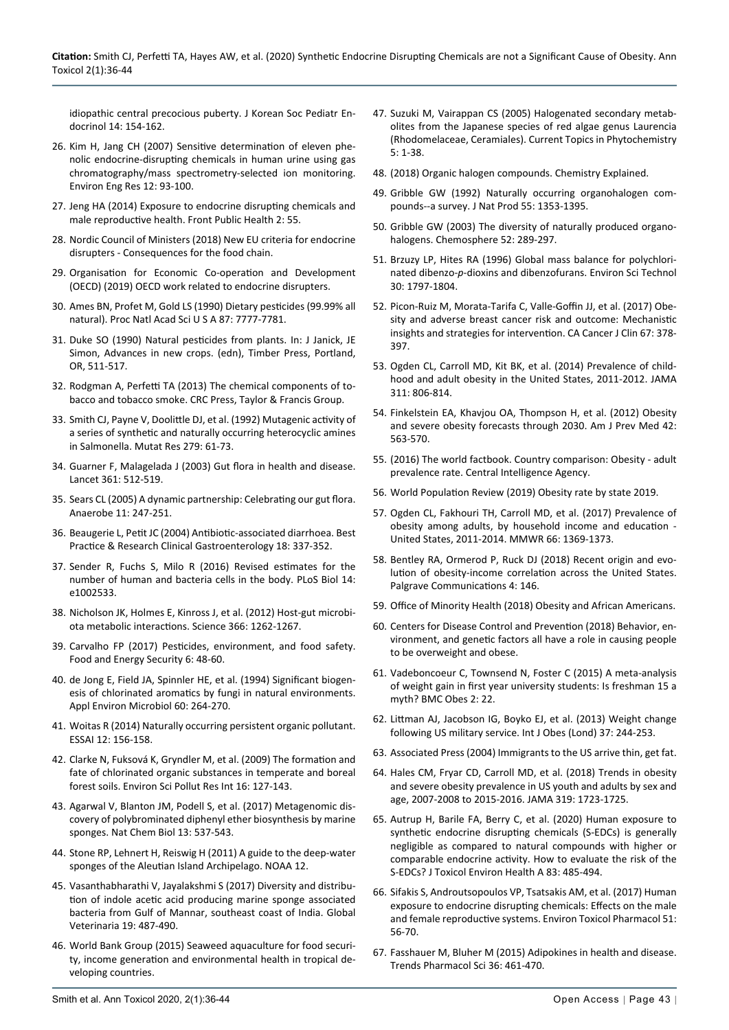[idiopathic central precocious puberty. J Korean Soc Pediatr En](https://e-apem.org/journal/view.php?number=67)docrinol [14: 154-162.](https://e-apem.org/journal/view.php?number=67)

- 26. [Kim H, Jang CH \(2007\) Sensitive determination of eleven phe](http://eeer.org/journal/view.php?number=233)[nolic endocrine-disrupting chemicals in human urine using gas](http://eeer.org/journal/view.php?number=233)  [chromatography/mass spectrometry-selected ion monitoring.](http://eeer.org/journal/view.php?number=233)  [Environ Eng Res 12: 93-100.](http://eeer.org/journal/view.php?number=233)
- 27. [Jeng HA \(2014\) Exposure to endocrine disrupting chemicals and](https://pubmed.ncbi.nlm.nih.gov/24926476/)  [male reproductive health. Front Public Health 2: 55.](https://pubmed.ncbi.nlm.nih.gov/24926476/)
- 28. [Nordic Council of Ministers \(2018\) New EU criteria for endocrine](https://norden.diva-portal.org/smash/get/diva2:1243064/FULLTEXT02.pdf)  [disrupters - Consequences for the food chain.](https://norden.diva-portal.org/smash/get/diva2:1243064/FULLTEXT02.pdf)
- 29. [Organisation for Economic Co-operation and Development](https://www.oecd.org/env/ehs/testing/oecdworkrelatedtoendocrinedisrupters.htm)  [\(OECD\) \(2019\) OECD work related to endocrine disrupters.](https://www.oecd.org/env/ehs/testing/oecdworkrelatedtoendocrinedisrupters.htm)
- 30. [Ames BN, Profet M, Gold LS \(1990\) Dietary pesticides \(99.99% all](https://www.ncbi.nlm.nih.gov/pmc/articles/PMC54831/)  [natural\). Proc Natl Acad Sci U S A 87: 7777-7781.](https://www.ncbi.nlm.nih.gov/pmc/articles/PMC54831/)
- 31. Duke SO (1990) Natural pesticides from plants. In: J Janick, JE Simon, Advances in new crops. (edn), Timber Press, Portland, OR, 511-517.
- 32. Rodgman A, Perfetti TA (2013) The chemical components of tobacco and tobacco smoke. CRC Press, Taylor & Francis Group.
- 33. [Smith CJ, Payne V, Doolittle DJ, et al. \(1992\) Mutagenic activity of](https://pubmed.ncbi.nlm.nih.gov/1374534/)  [a series of synthetic and naturally occurring heterocyclic amines](https://pubmed.ncbi.nlm.nih.gov/1374534/)  [in Salmonella. Mutat Res 279: 61-73.](https://pubmed.ncbi.nlm.nih.gov/1374534/)
- 34. [Guarner F, Malagelada J \(2003\) Gut flora in health and disease.](https://pubmed.ncbi.nlm.nih.gov/12583961/)  [Lancet 361: 512-519.](https://pubmed.ncbi.nlm.nih.gov/12583961/)
- 35. [Sears CL \(2005\) A dynamic partnership: Celebrating our gut flora.](https://pubmed.ncbi.nlm.nih.gov/16701579/)  [Anaerobe 11: 247-251.](https://pubmed.ncbi.nlm.nih.gov/16701579/)
- 36. [Beaugerie L, Petit JC \(2004\) Antibiotic-associated diarrhoea. Best](https://www.sciencedirect.com/science/article/abs/pii/S1521691803001276)  [Practice & Research Clinical Gastroenterology 18: 337-352.](https://www.sciencedirect.com/science/article/abs/pii/S1521691803001276)
- 37. [Sender R, Fuchs S, Milo R \(2016\) Revised estimates for the](https://pubmed.ncbi.nlm.nih.gov/27541692/)  [number of human and bacteria cells in the body. PLoS Biol 14:](https://pubmed.ncbi.nlm.nih.gov/27541692/)  [e1002533.](https://pubmed.ncbi.nlm.nih.gov/27541692/)
- 38. [Nicholson JK, Holmes E, Kinross J, et al. \(2012\) Host-gut microbi](https://pubmed.ncbi.nlm.nih.gov/22674330/)[ota metabolic interactions. Science 366: 1262-1267.](https://pubmed.ncbi.nlm.nih.gov/22674330/)
- 39. [Carvalho FP \(2017\) Pesticides, environment, and food safety.](https://onlinelibrary.wiley.com/doi/full/10.1002/fes3.108)  [Food and Energy Security 6: 48-60.](https://onlinelibrary.wiley.com/doi/full/10.1002/fes3.108)
- 40. [de Jong E, Field JA, Spinnler HE, et al. \(1994\) Significant biogen](https://pubmed.ncbi.nlm.nih.gov/16349156/)[esis of chlorinated aromatics by fungi in natural environments.](https://pubmed.ncbi.nlm.nih.gov/16349156/)  [Appl Environ Microbiol](https://pubmed.ncbi.nlm.nih.gov/16349156/) 60: 264-270.
- 41. Woitas R (2014) Naturally occurring persistent organic pollutant. ESSAI 12: 156-158.
- 42. [Clarke N, Fuksová K, Gryndler M, et al. \(2009\) The formation and](https://pubmed.ncbi.nlm.nih.gov/19104865/)  [fate of chlorinated organic substances in temperate and boreal](https://pubmed.ncbi.nlm.nih.gov/19104865/)  [forest soils. Environ Sci Pollut Res Int 16: 127-143.](https://pubmed.ncbi.nlm.nih.gov/19104865/)
- 43. [Agarwal V, Blanton JM, Podell S, et al. \(2017\) Metagenomic dis](https://pubmed.ncbi.nlm.nih.gov/28319100/)[covery of polybrominated diphenyl ether biosynthesis by marine](https://pubmed.ncbi.nlm.nih.gov/28319100/)  [sponges. Nat Chem Biol 13: 537-543.](https://pubmed.ncbi.nlm.nih.gov/28319100/)
- 44. [Stone RP, Lehnert H, Reiswig H \(2011\) A guide to the deep-water](https://spo.nmfs.noaa.gov/content/guide-deepwater-sponges-aleutian-island-archipelago)  [sponges of the Aleutian Island Archipelago. NOAA 12.](https://spo.nmfs.noaa.gov/content/guide-deepwater-sponges-aleutian-island-archipelago)
- 45. [Vasanthabharathi V, Jayalakshmi S \(2017\) Diversity and distribu](https://www.idosi.org/gv/gv19(1)17/5.pdf)[tion of indole acetic acid producing marine sponge associated](https://www.idosi.org/gv/gv19(1)17/5.pdf)  [bacteria from Gulf of Mannar, southeast coast of India. Global](https://www.idosi.org/gv/gv19(1)17/5.pdf)  [Veterinaria 19: 487-490.](https://www.idosi.org/gv/gv19(1)17/5.pdf)
- 46. [World Bank Group \(2015\) Seaweed aquaculture for food securi](https://elibrary.worldbank.org/doi/abs/10.1596/24919)[ty, income generation and environmental health in tropical de](https://elibrary.worldbank.org/doi/abs/10.1596/24919)[veloping countries.](https://elibrary.worldbank.org/doi/abs/10.1596/24919)
- 47. [Suzuki M, Vairappan CS \(2005\) Halogenated secondary metab](https://eurekamag.com/research/013/393/013393821.php)[olites from the Japanese species of red algae genus Laurencia](https://eurekamag.com/research/013/393/013393821.php)  [\(Rhodomelaceae, Ceramiales\). Current Topics in Phytochemistry](https://eurekamag.com/research/013/393/013393821.php)  [5: 1-38.](https://eurekamag.com/research/013/393/013393821.php)
- 48. [\(2018\) Organic halogen compounds. Chemistry Explained.](http://www.chemistryexplained.com/Ny-Pi/Organic-Halogen-Compounds.html)
- 49. [Gribble GW \(1992\) Naturally occurring organohalogen com](https://pubs.acs.org/doi/abs/10.1021/np50088a001)[pounds--a survey. J Nat Prod 55: 1353-1395.](https://pubs.acs.org/doi/abs/10.1021/np50088a001)
- 50. [Gribble GW \(2003\) The diversity of naturally produced organo](https://pubmed.ncbi.nlm.nih.gov/12738253/)[halogens. Chemosphere 52: 289-297.](https://pubmed.ncbi.nlm.nih.gov/12738253/)
- 51. [Brzuzy LP, Hites RA \(1996\) Global mass balance for polychlori](https://pubs.acs.org/doi/abs/10.1021/es950714n)nated dibenzo-*p*[-dioxins and dibenzofurans. Environ Sci Technol](https://pubs.acs.org/doi/abs/10.1021/es950714n)  [30: 1797-1804.](https://pubs.acs.org/doi/abs/10.1021/es950714n)
- 52. [Picon‐Ruiz M, Morata‐Tarifa C, Valle‐Goffin JJ, et al. \(2017\) Obe](https://pubmed.ncbi.nlm.nih.gov/28763097/)[sity and adverse breast cancer risk and outcome: Mechanistic](https://pubmed.ncbi.nlm.nih.gov/28763097/)  [insights and strategies for intervention. CA Cancer J Clin 67: 378-](https://pubmed.ncbi.nlm.nih.gov/28763097/) [397.](https://pubmed.ncbi.nlm.nih.gov/28763097/)
- 53. [Ogden CL, Carroll MD, Kit BK, et al. \(2014\) Prevalence of child](https://pubmed.ncbi.nlm.nih.gov/24570244/)[hood and adult obesity in the United States, 2011-2012. JAMA](https://pubmed.ncbi.nlm.nih.gov/24570244/)  [311: 806-814.](https://pubmed.ncbi.nlm.nih.gov/24570244/)
- 54. [Finkelstein EA, Khavjou OA, Thompson H, et al. \(2012\) Obesity](https://pubmed.ncbi.nlm.nih.gov/22608371/)  [and severe obesity forecasts through 2030. Am J Prev Med 42:](https://pubmed.ncbi.nlm.nih.gov/22608371/)  [563-570.](https://pubmed.ncbi.nlm.nih.gov/22608371/)
- 55. [\(2016\) The world factbook. Country comparison: Obesity adult](https://www.cia.gov/library/publications/the-world-factbook/rankorder/2228rank.html)  [prevalence rate. Central Intelligence Agency.](https://www.cia.gov/library/publications/the-world-factbook/rankorder/2228rank.html)
- 56. World Population Review (2019) Obesity rate by state 2019.
- 57. [Ogden CL, Fakhouri TH, Carroll MD, et al. \(2017\) Prevalence of](https://www.cdc.gov/mmwr/volumes/66/wr/mm6650a1.htm)  [obesity among adults, by household income and education -](https://www.cdc.gov/mmwr/volumes/66/wr/mm6650a1.htm)  [United States, 2011-2014. MMWR 66: 1369-1373.](https://www.cdc.gov/mmwr/volumes/66/wr/mm6650a1.htm)
- 58. [Bentley RA, Ormerod P, Ruck DJ \(2018\) Recent origin and evo](https://www.nature.com/articles/s41599-018-0201-x)[lution of obesity-income correlation across the United States.](https://www.nature.com/articles/s41599-018-0201-x)  [Palgrave Communications 4: 146.](https://www.nature.com/articles/s41599-018-0201-x)
- 59. [Office of Minority Health \(2018\) Obesity and African Americans.](https://minorityhealth.hhs.gov/omh/browse.aspx?lvl=4&lvlid=25)
- 60. [Centers for Disease Control and Prevention \(2018\) Behavior, en](https://www.cdc.gov/genomics/resources/diseases/obesity/index.htm)[vironment, and genetic factors all have a role in causing people](https://www.cdc.gov/genomics/resources/diseases/obesity/index.htm)  [to be overweight and obese.](https://www.cdc.gov/genomics/resources/diseases/obesity/index.htm)
- 61. [Vadeboncoeur C, Townsend N, Foster C \(2015\) A meta-analysis](https://pubmed.ncbi.nlm.nih.gov/26217537/)  [of weight gain in first year university students: Is freshman 15 a](https://pubmed.ncbi.nlm.nih.gov/26217537/)  [myth? BMC Obes 2: 22.](https://pubmed.ncbi.nlm.nih.gov/26217537/)
- 62. [Littman AJ, Jacobson IG, Boyko EJ, et al. \(2013\) Weight change](https://pubmed.ncbi.nlm.nih.gov/22491091/)  [following US military service. Int J Obes \(Lond\) 37: 244-253.](https://pubmed.ncbi.nlm.nih.gov/22491091/)
- 63. Associated Press (2004) Immigrants to the US arrive thin, get fat.
- 64. [Hales CM, Fryar CD, Carroll MD, et al. \(2018\) Trends in obesity](https://www.ncbi.nlm.nih.gov/pmc/articles/PMC5876828/)  [and severe obesity prevalence in US youth and adults by sex and](https://www.ncbi.nlm.nih.gov/pmc/articles/PMC5876828/)  [age, 2007-2008 to 2015-2016. JAMA 319: 1723-1725.](https://www.ncbi.nlm.nih.gov/pmc/articles/PMC5876828/)
- 65. [Autrup H, Barile FA, Berry C, et al. \(2020\) Human exposure to](https://pubmed.ncbi.nlm.nih.gov/32552445/)  [synthetic endocrine disrupting chemicals \(S-EDCs\) is generally](https://pubmed.ncbi.nlm.nih.gov/32552445/)  [negligible as compared to natural compounds with higher or](https://pubmed.ncbi.nlm.nih.gov/32552445/)  [comparable endocrine activity. How to evaluate the risk of the](https://pubmed.ncbi.nlm.nih.gov/32552445/)  [S-EDCs? J Toxicol Environ Health A 83: 485-494.](https://pubmed.ncbi.nlm.nih.gov/32552445/)
- 66. [Sifakis S, Androutsopoulos VP, Tsatsakis AM, et al. \(2017\) Human](https://pubmed.ncbi.nlm.nih.gov/28292651/)  [exposure to endocrine disrupting chemicals: Effects on the male](https://pubmed.ncbi.nlm.nih.gov/28292651/)  [and female reproductive systems. Environ Toxicol Pharmacol 51:](https://pubmed.ncbi.nlm.nih.gov/28292651/)  [56-70.](https://pubmed.ncbi.nlm.nih.gov/28292651/)
- 67. [Fasshauer M, Bluher M \(2015\) Adipokines in health and disease.](https://pubmed.ncbi.nlm.nih.gov/26022934/)  [Trends Pharmacol Sci](https://pubmed.ncbi.nlm.nih.gov/26022934/) 36: 461-470.